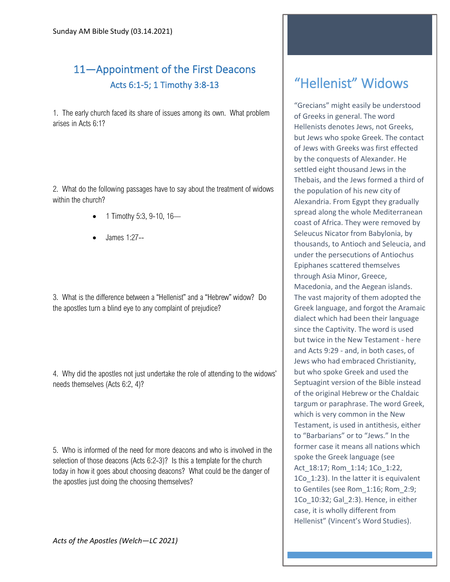## 11—Appointment of the First Deacons Acts 6:1-5; 1 Timothy 3:8-13

1. The early church faced its share of issues among its own. What problem arises in Acts 6:1?

2. What do the following passages have to say about the treatment of widows within the church?

- 1 Timothy 5:3, 9-10, 16—
- James 1:27--

3. What is the difference between a "Hellenist" and a "Hebrew" widow? Do the apostles turn a blind eye to any complaint of prejudice?

4. Why did the apostles not just undertake the role of attending to the widows' needs themselves (Acts 6:2, 4)?

5. Who is informed of the need for more deacons and who is involved in the selection of those deacons (Acts 6:2-3)? Is this a template for the church today in how it goes about choosing deacons? What could be the danger of the apostles just doing the choosing themselves?

## "Hellenist" Widows

"Grecians" might easily be understood of Greeks in general. The word Hellenists denotes Jews, not Greeks, but Jews who spoke Greek. The contact of Jews with Greeks was first effected by the conquests of Alexander. He settled eight thousand Jews in the Thebais, and the Jews formed a third of the population of his new city of Alexandria. From Egypt they gradually spread along the whole Mediterranean coast of Africa. They were removed by Seleucus Nicator from Babylonia, by thousands, to Antioch and Seleucia, and under the persecutions of Antiochus Epiphanes scattered themselves through Asia Minor, Greece, Macedonia, and the Aegean islands. The vast majority of them adopted the Greek language, and forgot the Aramaic dialect which had been their language since the Captivity. The word is used but twice in the New Testament - here and Acts 9:29 - and, in both cases, of Jews who had embraced Christianity, but who spoke Greek and used the Septuagint version of the Bible instead of the original Hebrew or the Chaldaic targum or paraphrase. The word Greek, which is very common in the New Testament, is used in antithesis, either to "Barbarians" or to "Jews." In the former case it means all nations which spoke the Greek language (see Act\_18:17; Rom\_1:14; 1Co\_1:22, 1Co 1:23). In the latter it is equivalent to Gentiles (see Rom\_1:16; Rom\_2:9; 1Co\_10:32; Gal\_2:3). Hence, in either case, it is wholly different from Hellenist" (Vincent's Word Studies).